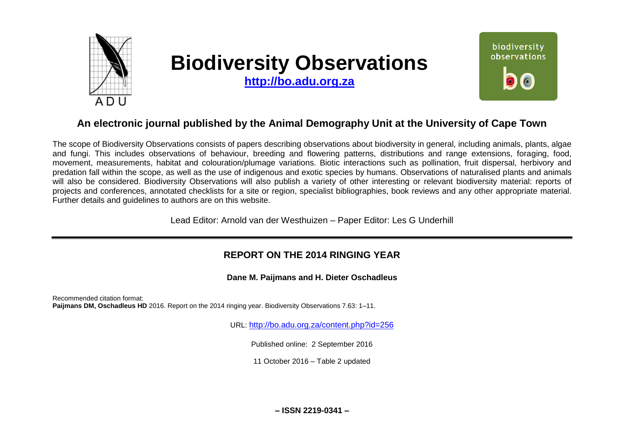

# **Biodiversity Observations**

**[http://bo.adu.org.za](http://bo.adu.org.za/)**



# **An electronic journal published by the Animal Demography Unit at the University of Cape Town**

The scope of Biodiversity Observations consists of papers describing observations about biodiversity in general, including animals, plants, algae and fungi. This includes observations of behaviour, breeding and flowering patterns, distributions and range extensions, foraging, food, movement, measurements, habitat and colouration/plumage variations. Biotic interactions such as pollination, fruit dispersal, herbivory and predation fall within the scope, as well as the use of indigenous and exotic species by humans. Observations of naturalised plants and animals will also be considered. Biodiversity Observations will also publish a variety of other interesting or relevant biodiversity material: reports of projects and conferences, annotated checklists for a site or region, specialist bibliographies, book reviews and any other appropriate material. Further details and guidelines to authors are on this website.

Lead Editor: Arnold van der Westhuizen – Paper Editor: Les G Underhill

## **REPORT ON THE 2014 RINGING YEAR**

**Dane M. Paijmans and H. Dieter Oschadleus**

Recommended citation format: **Paijmans DM, Oschadleus HD** 2016. Report on the 2014 ringing year. Biodiversity Observations 7.63: 1–11.

URL: <http://bo.adu.org.za/content.php?id=256>

Published online: 2 September 2016

11 October 2016 – Table 2 updated

**– ISSN 2219-0341 –**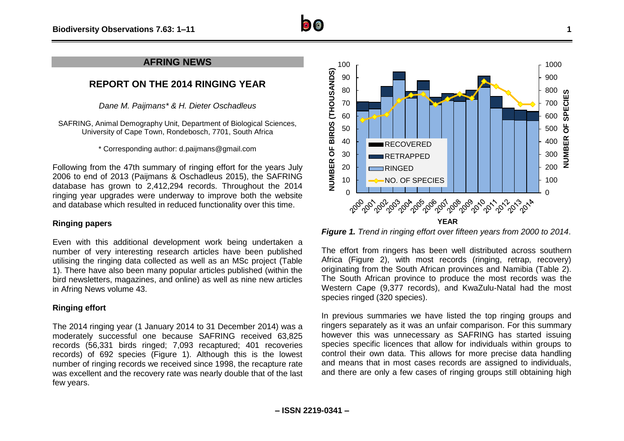

## **AFRING NEWS**

## **REPORT ON THE 2014 RINGING YEAR**

*Dane M. Paijmans\* & H. Dieter Oschadleus*

SAFRING, Animal Demography Unit, Department of Biological Sciences, University of Cape Town, Rondebosch, 7701, South Africa

\* Corresponding author: d.paijmans@gmail.com

Following from the 47th summary of ringing effort for the years July 2006 to end of 2013 (Paijmans & Oschadleus 2015), the SAFRING database has grown to 2,412,294 records. Throughout the 2014 ringing year upgrades were underway to improve both the website and database which resulted in reduced functionality over this time.

### **Ringing papers**

Even with this additional development work being undertaken a number of very interesting research articles have been published utilising the ringing data collected as well as an MSc project (Table 1). There have also been many popular articles published (within the bird newsletters, magazines, and online) as well as nine new articles in Afring News volume 43.

## **Ringing effort**

The 2014 ringing year (1 January 2014 to 31 December 2014) was a moderately successful one because SAFRING received 63,825 records (56,331 birds ringed; 7,093 recaptured; 401 recoveries records) of 692 species (Figure 1). Although this is the lowest number of ringing records we received since 1998, the recapture rate was excellent and the recovery rate was nearly double that of the last few years.



*Figure 1. Trend in ringing effort over fifteen years from 2000 to 2014*.

The effort from ringers has been well distributed across southern Africa (Figure 2), with most records (ringing, retrap, recovery) originating from the South African provinces and Namibia (Table 2). The South African province to produce the most records was the Western Cape (9,377 records), and KwaZulu-Natal had the most species ringed (320 species).

In previous summaries we have listed the top ringing groups and ringers separately as it was an unfair comparison. For this summary however this was unnecessary as SAFRING has started issuing species specific licences that allow for individuals within groups to control their own data. This allows for more precise data handling and means that in most cases records are assigned to individuals, and there are only a few cases of ringing groups still obtaining high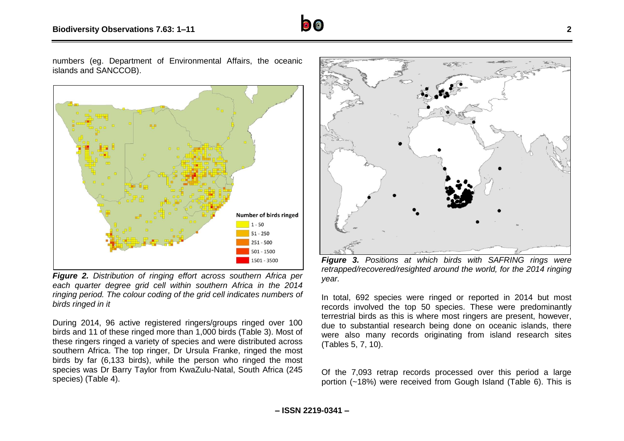

numbers (eg. Department of Environmental Affairs, the oceanic islands and SANCCOB).



*Figure 2. Distribution of ringing effort across southern Africa per each quarter degree grid cell within southern Africa in the 2014 ringing period. The colour coding of the grid cell indicates numbers of birds ringed in it*

During 2014, 96 active registered ringers/groups ringed over 100 birds and 11 of these ringed more than 1,000 birds (Table 3). Most of these ringers ringed a variety of species and were distributed across southern Africa. The top ringer, Dr Ursula Franke, ringed the most birds by far (6,133 birds), while the person who ringed the most species was Dr Barry Taylor from KwaZulu-Natal, South Africa (245 species) (Table 4).



*Figure 3. Positions at which birds with SAFRING rings were retrapped/recovered/resighted around the world, for the 2014 ringing year.*

In total, 692 species were ringed or reported in 2014 but most records involved the top 50 species. These were predominantly terrestrial birds as this is where most ringers are present, however, due to substantial research being done on oceanic islands, there were also many records originating from island research sites (Tables 5, 7, 10).

Of the 7,093 retrap records processed over this period a large portion (~18%) were received from Gough Island (Table 6). This is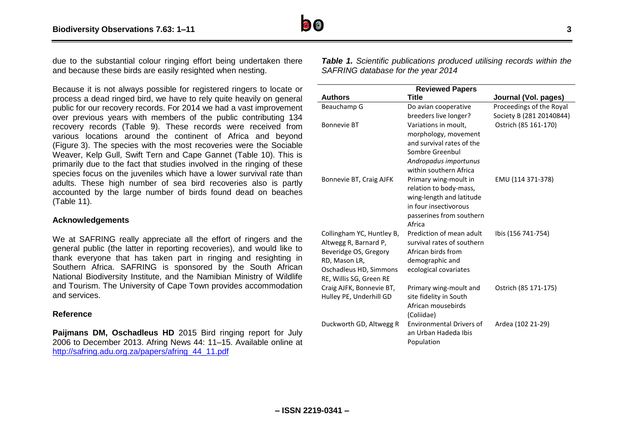

due to the substantial colour ringing effort being undertaken there and because these birds are easily resighted when nesting.

Because it is not always possible for registered ringers to locate or process a dead ringed bird, we have to rely quite heavily on general public for our recovery records. For 2014 we had a vast improvement over previous years with members of the public contributing 134 recovery records (Table 9). These records were received from various locations around the continent of Africa and beyond (Figure 3). The species with the most recoveries were the Sociable Weaver, Kelp Gull, Swift Tern and Cape Gannet (Table 10). This is primarily due to the fact that studies involved in the ringing of these species focus on the juveniles which have a lower survival rate than adults. These high number of sea bird recoveries also is partly accounted by the large number of birds found dead on beaches (Table 11).

#### **Acknowledgements**

We at SAFRING really appreciate all the effort of ringers and the general public (the latter in reporting recoveries), and would like to thank everyone that has taken part in ringing and resighting in Southern Africa. SAFRING is sponsored by the South African National Biodiversity Institute, and the Namibian Ministry of Wildlife and Tourism. The University of Cape Town provides accommodation and services.

#### **Reference**

Paijmans DM, Oschadleus HD 2015 Bird ringing report for July 2006 to December 2013. Afring News 44: 11–15. Available online at [http://safring.adu.org.za/papers/afring\\_44\\_11.pdf](http://safring.adu.org.za/papers/afring_44_11.pdf)

*Table 1. Scientific publications produced utilising records within the SAFRING database for the year 2014*

|                                                | <b>Reviewed Papers</b>                                 |                          |  |  |  |
|------------------------------------------------|--------------------------------------------------------|--------------------------|--|--|--|
| <b>Authors</b>                                 | Title                                                  | Journal (Vol. pages)     |  |  |  |
| Beauchamp G                                    | Do avian cooperative                                   | Proceedings of the Royal |  |  |  |
|                                                | breeders live longer?                                  | Society B (281 20140844) |  |  |  |
| <b>Bonnevie BT</b>                             | Variations in moult,                                   | Ostrich (85 161-170)     |  |  |  |
|                                                | morphology, movement                                   |                          |  |  |  |
|                                                | and survival rates of the                              |                          |  |  |  |
|                                                | Sombre Greenbul                                        |                          |  |  |  |
|                                                | Andropadus importunus                                  |                          |  |  |  |
|                                                | within southern Africa                                 |                          |  |  |  |
| Bonnevie BT, Craig AJFK                        | Primary wing-moult in                                  | EMU (114 371-378)        |  |  |  |
|                                                | relation to body-mass,                                 |                          |  |  |  |
|                                                | wing-length and latitude                               |                          |  |  |  |
|                                                | in four insectivorous                                  |                          |  |  |  |
|                                                | passerines from southern                               |                          |  |  |  |
|                                                | Africa                                                 |                          |  |  |  |
| Collingham YC, Huntley B,                      | Prediction of mean adult<br>survival rates of southern | Ibis (156 741-754)       |  |  |  |
| Altwegg R, Barnard P,<br>Beveridge OS, Gregory | African birds from                                     |                          |  |  |  |
| RD, Mason LR,                                  | demographic and                                        |                          |  |  |  |
| Oschadleus HD, Simmons                         | ecological covariates                                  |                          |  |  |  |
| RE, Willis SG, Green RE                        |                                                        |                          |  |  |  |
| Craig AJFK, Bonnevie BT,                       | Primary wing-moult and                                 | Ostrich (85 171-175)     |  |  |  |
| Hulley PE, Underhill GD                        | site fidelity in South                                 |                          |  |  |  |
|                                                | African mousebirds                                     |                          |  |  |  |
|                                                | (Coliidae)                                             |                          |  |  |  |
| Duckworth GD, Altwegg R                        | <b>Environmental Drivers of</b>                        | Ardea (102 21-29)        |  |  |  |
|                                                | an Urban Hadeda Ibis                                   |                          |  |  |  |
|                                                | Population                                             |                          |  |  |  |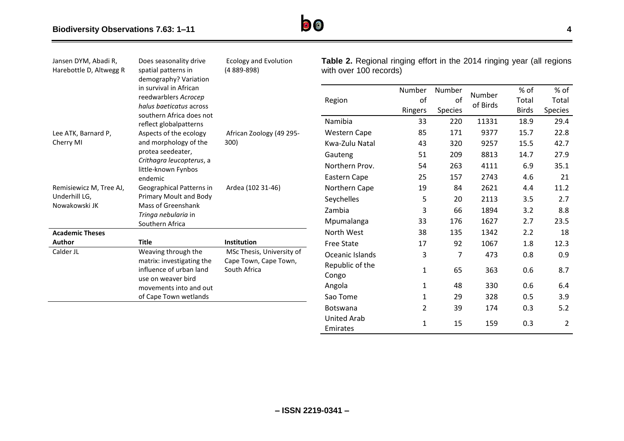

| Jansen DYM, Abadi R,<br>Harebottle D, Altwegg R | Does seasonality drive<br>spatial patterns in<br>demography? Variation                                              | <b>Ecology and Evolution</b><br>$(4889 - 898)$ | Table 2. Regional ringing effort in the 2014 ringing year (all regions<br>with over 100 records) |                         |                         |                    |                               |                          |
|-------------------------------------------------|---------------------------------------------------------------------------------------------------------------------|------------------------------------------------|--------------------------------------------------------------------------------------------------|-------------------------|-------------------------|--------------------|-------------------------------|--------------------------|
|                                                 | in survival in African<br>reedwarblers Acrocep<br>halus baeticatus across<br>southern Africa does not               |                                                | Region                                                                                           | Number<br>of<br>Ringers | Number<br>of<br>Species | Number<br>of Birds | % of<br>Total<br><b>Birds</b> | % of<br>Total<br>Species |
|                                                 | reflect globalpatterns                                                                                              |                                                | Namibia                                                                                          | 33                      | 220                     | 11331              | 18.9                          | 29.4                     |
| Lee ATK, Barnard P,                             | Aspects of the ecology                                                                                              | African Zoology (49 295-                       | <b>Western Cape</b>                                                                              | 85                      | 171                     | 9377               | 15.7                          | 22.8                     |
| Cherry MI                                       | and morphology of the                                                                                               | 300)                                           | Kwa-Zulu Natal                                                                                   | 43                      | 320                     | 9257               | 15.5                          | 42.7                     |
|                                                 | protea seedeater,                                                                                                   |                                                | Gauteng                                                                                          | 51                      | 209                     | 8813               | 14.7                          | 27.9                     |
|                                                 | Crithagra leucopterus, a<br>little-known Fynbos                                                                     |                                                | Northern Prov.                                                                                   | 54                      | 263                     | 4111               | 6.9                           | 35.1                     |
|                                                 | endemic                                                                                                             |                                                | Eastern Cape                                                                                     | 25                      | 157                     | 2743               | 4.6                           | 21                       |
| Remisiewicz M, Tree AJ,                         | Geographical Patterns in                                                                                            | Ardea (102 31-46)                              | Northern Cape                                                                                    | 19                      | 84                      | 2621               | 4.4                           | 11.2                     |
| Underhill LG,                                   | Primary Moult and Body                                                                                              |                                                | Seychelles                                                                                       | 5                       | 20                      | 2113               | 3.5                           | 2.7                      |
| Nowakowski JK                                   | Mass of Greenshank<br>Tringa nebularia in                                                                           |                                                | Zambia                                                                                           | 3                       | 66                      | 1894               | 3.2                           | 8.8                      |
|                                                 | Southern Africa                                                                                                     |                                                | Mpumalanga                                                                                       | 33                      | 176                     | 1627               | 2.7                           | 23.5                     |
| <b>Academic Theses</b>                          |                                                                                                                     |                                                | North West                                                                                       | 38                      | 135                     | 1342               | 2.2                           | 18                       |
| Author                                          | <b>Title</b>                                                                                                        | Institution                                    | <b>Free State</b>                                                                                | 17                      | 92                      | 1067               | 1.8                           | 12.3                     |
| Calder JL                                       | Weaving through the                                                                                                 | MSc Thesis, University of                      | Oceanic Islands                                                                                  | 3                       | 7                       | 473                | 0.8                           | 0.9                      |
|                                                 | matrix: investigating the<br>Cape Town, Cape Town,<br>influence of urban land<br>South Africa<br>use on weaver bird |                                                | Republic of the<br>Congo                                                                         | $\mathbf{1}$            | 65                      | 363                | 0.6                           | 8.7                      |
|                                                 | movements into and out                                                                                              |                                                | Angola                                                                                           | 1                       | 48                      | 330                | 0.6                           | 6.4                      |
|                                                 | of Cape Town wetlands                                                                                               |                                                | Sao Tome                                                                                         | 1                       | 29                      | 328                | 0.5                           | 3.9                      |
|                                                 |                                                                                                                     |                                                | Botswana                                                                                         | $\overline{2}$          | 39                      | 174                | 0.3                           | 5.2                      |
|                                                 |                                                                                                                     |                                                | <b>United Arab</b><br>Emirates                                                                   | $\mathbf{1}$            | 15                      | 159                | 0.3                           | $\overline{2}$           |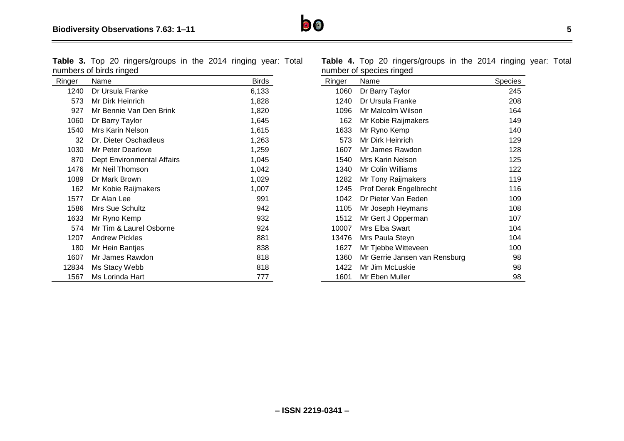**Table 3.** Top 20 ringers/groups in the 2014 ringing year: Total numbers of birds ringed

| Ringer | Name                       | <b>Birds</b> |
|--------|----------------------------|--------------|
| 1240   | Dr Ursula Franke           | 6,133        |
| 573.   | Mr Dirk Heinrich           | 1,828        |
| 927    | Mr Bennie Van Den Brink    | 1,820        |
| 1060   | Dr Barry Taylor            | 1,645        |
| 1540   | Mrs Karin Nelson           | 1,615        |
| 32     | Dr. Dieter Oschadleus      | 1,263        |
| 1030   | Mr Peter Dearlove          | 1,259        |
| 870    | Dept Environmental Affairs | 1,045        |
| 1476   | Mr Neil Thomson            | 1,042        |
| 1089   | Dr Mark Brown              | 1,029        |
| 162    | Mr Kobie Raijmakers        | 1,007        |
| 1577   | Dr Alan Lee                | 991          |
| 1586   | Mrs Sue Schultz            | 942          |
| 1633   | Mr Ryno Kemp               | 932          |
| 574    | Mr Tim & Laurel Osborne    | 924          |
| 1207   | <b>Andrew Pickles</b>      | 881          |
| 180    | Mr Hein Bantjes            | 838          |
| 1607   | Mr James Rawdon            | 818          |
| 12834  | Ms Stacy Webb              | 818          |
| 1567   | Ms Lorinda Hart            | 777          |

**Table 4.** Top 20 ringers/groups in the 2014 ringing year: Total number of species ringed

| Ringer | Name                          | <b>Species</b> |
|--------|-------------------------------|----------------|
| 1060   | Dr Barry Taylor               | 245            |
| 1240   | Dr Ursula Franke              | 208            |
| 1096   | Mr Malcolm Wilson             | 164            |
| 162    | Mr Kobie Raijmakers           | 149            |
| 1633   | Mr Ryno Kemp                  | 140            |
| 573    | Mr Dirk Heinrich              | 129            |
| 1607   | Mr James Rawdon               | 128            |
| 1540   | Mrs Karin Nelson              | 125            |
| 1340   | Mr Colin Williams             | 122            |
| 1282   | Mr Tony Raijmakers            | 119            |
| 1245   | Prof Derek Engelbrecht        | 116            |
| 1042   | Dr Pieter Van Eeden           | 109            |
| 1105   | Mr Joseph Heymans             | 108            |
| 1512   | Mr Gert J Opperman            | 107            |
| 10007  | Mrs Elba Swart                | 104            |
| 13476  | Mrs Paula Steyn               | 104            |
| 1627   | Mr Tjebbe Witteveen           | 100            |
| 1360   | Mr Gerrie Jansen van Rensburg | 98             |
| 1422   | Mr Jim McLuskie               | 98             |
| 1601   | Mr Eben Muller                | 98             |

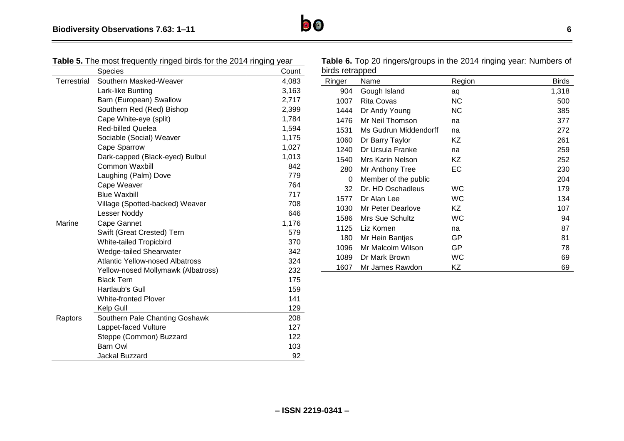|  |  | Table 5. The most frequently ringed birds for the 2014 ringing year |  |
|--|--|---------------------------------------------------------------------|--|
|  |  |                                                                     |  |

|             | Species                                | Count |
|-------------|----------------------------------------|-------|
| Terrestrial | Southern Masked-Weaver                 | 4,083 |
|             | Lark-like Bunting                      | 3,163 |
|             | Barn (European) Swallow                | 2,717 |
|             | Southern Red (Red) Bishop              | 2,399 |
|             | Cape White-eye (split)                 | 1,784 |
|             | <b>Red-billed Quelea</b>               | 1,594 |
|             | Sociable (Social) Weaver               | 1,175 |
|             | Cape Sparrow                           | 1,027 |
|             | Dark-capped (Black-eyed) Bulbul        | 1,013 |
|             | <b>Common Waxbill</b>                  | 842   |
|             | Laughing (Palm) Dove                   | 779   |
|             | Cape Weaver                            | 764   |
|             | <b>Blue Waxbill</b>                    | 717   |
|             | Village (Spotted-backed) Weaver        | 708   |
|             | Lesser Noddy                           | 646   |
| Marine      | Cape Gannet                            | 1,176 |
|             | Swift (Great Crested) Tern             | 579   |
|             | <b>White-tailed Tropicbird</b>         | 370   |
|             | Wedge-tailed Shearwater                | 342   |
|             | <b>Atlantic Yellow-nosed Albatross</b> | 324   |
|             | Yellow-nosed Mollymawk (Albatross)     | 232   |
|             | <b>Black Tern</b>                      | 175   |
|             | Hartlaub's Gull                        | 159   |
|             | <b>White-fronted Plover</b>            | 141   |
|             | Kelp Gull                              | 129   |
| Raptors     | Southern Pale Chanting Goshawk         | 208   |
|             | Lappet-faced Vulture                   | 127   |
|             | Steppe (Common) Buzzard                | 122   |
|             | Barn Owl                               | 103   |
|             | Jackal Buzzard                         | 92    |

| Table 6. Top 20 ringers/groups in the 2014 ringing year: Numbers of |  |
|---------------------------------------------------------------------|--|
| birds retrapped                                                     |  |

| Ringer | Name                  | Region    | <b>Birds</b> |
|--------|-----------------------|-----------|--------------|
| 904    | Gough Island          | aq        | 1,318        |
| 1007   | <b>Rita Covas</b>     | <b>NC</b> | 500          |
| 1444   | Dr Andy Young         | NС        | 385          |
| 1476   | Mr Neil Thomson       | na        | 377          |
| 1531   | Ms Gudrun Middendorff | na        | 272          |
| 1060   | Dr Barry Taylor       | ΚZ        | 261          |
| 1240   | Dr Ursula Franke      | na        | 259          |
| 1540   | Mrs Karin Nelson      | ΚZ        | 252          |
| 280    | Mr Anthony Tree       | EC        | 230          |
| 0      | Member of the public  |           | 204          |
| 32     | Dr. HD Oschadleus     | WС        | 179          |
| 1577   | Dr Alan Lee           | WC        | 134          |
| 1030   | Mr Peter Dearlove     | ΚZ        | 107          |
| 1586   | Mrs Sue Schultz       | <b>WC</b> | 94           |
| 1125   | Liz Komen             | na        | 87           |
| 180    | Mr Hein Bantjes       | GP        | 81           |
| 1096   | Mr Malcolm Wilson     | GP        | 78           |
| 1089   | Dr Mark Brown         | WC        | 69           |
| 1607   | Mr James Rawdon       | ΚZ        | 69           |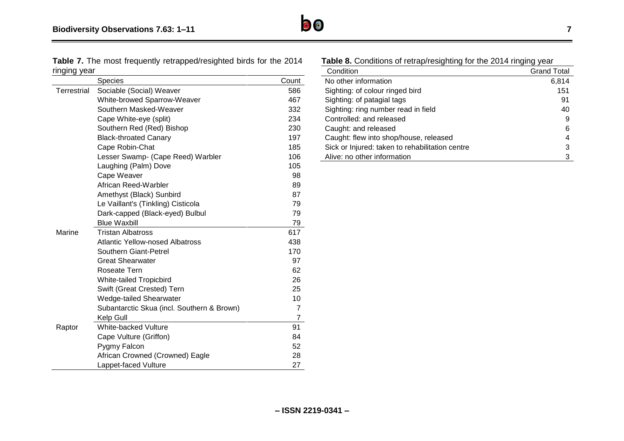

**Table 7.** The most frequently retrapped/resighted birds for the 2014 ringing year

|             | Species                                    | Count          |
|-------------|--------------------------------------------|----------------|
| Terrestrial | Sociable (Social) Weaver                   | 586            |
|             | White-browed Sparrow-Weaver                | 467            |
|             | Southern Masked-Weaver                     | 332            |
|             | Cape White-eye (split)                     | 234            |
|             | Southern Red (Red) Bishop                  | 230            |
|             | <b>Black-throated Canary</b>               | 197            |
|             | Cape Robin-Chat                            | 185            |
|             | Lesser Swamp- (Cape Reed) Warbler          | 106            |
|             | Laughing (Palm) Dove                       | 105            |
|             | Cape Weaver                                | 98             |
|             | African Reed-Warbler                       | 89             |
|             | Amethyst (Black) Sunbird                   | 87             |
|             | Le Vaillant's (Tinkling) Cisticola         | 79             |
|             | Dark-capped (Black-eyed) Bulbul            | 79             |
|             | <b>Blue Waxbill</b>                        | 79             |
| Marine      | <b>Tristan Albatross</b>                   | 617            |
|             | <b>Atlantic Yellow-nosed Albatross</b>     | 438            |
|             | Southern Giant-Petrel                      | 170            |
|             | <b>Great Shearwater</b>                    | 97             |
|             | Roseate Tern                               | 62             |
|             | White-tailed Tropicbird                    | 26             |
|             | Swift (Great Crested) Tern                 | 25             |
|             | Wedge-tailed Shearwater                    | 10             |
|             | Subantarctic Skua (incl. Southern & Brown) | $\overline{7}$ |
|             | Kelp Gull                                  | 7              |
| Raptor      | White-backed Vulture                       | 91             |
|             | Cape Vulture (Griffon)                     | 84             |
|             | Pygmy Falcon                               | 52             |
|             | African Crowned (Crowned) Eagle            | 28             |
|             | Lappet-faced Vulture                       | 27             |

| <b>Table 8.</b> Conditions of retrap/resighting for the 2014 ringing year |                    |  |
|---------------------------------------------------------------------------|--------------------|--|
| Condition                                                                 | <b>Grand Total</b> |  |
| No other information                                                      | 6,814              |  |
| Sighting: of colour ringed bird                                           | 151                |  |
| Sighting: of patagial tags                                                | 91                 |  |
| Sighting: ring number read in field                                       | 40                 |  |
| Controlled: and released                                                  | 9                  |  |
| Caught: and released                                                      | 6                  |  |
| Caught: flew into shop/house, released                                    | 4                  |  |
| Sick or Injured: taken to rehabilitation centre                           | 3                  |  |
| Alive: no other information                                               | 3                  |  |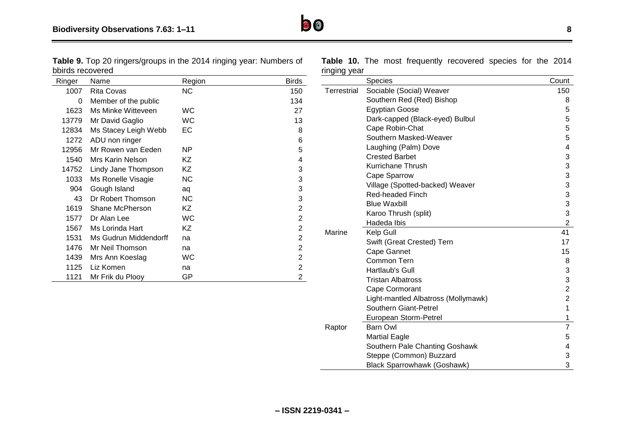**Table 9.** Top 20 ringers/groups in the 2014 ringing year: Numbers of bbirds recovered

| Ringer | Name                  | Region    | <b>Birds</b>   |
|--------|-----------------------|-----------|----------------|
| 1007   | Rita Covas            | NC.       | 150            |
| 0      | Member of the public  |           | 134            |
| 1623   | Ms Minke Witteveen    | WС        | 27             |
| 13779  | Mr David Gaglio       | WC        | 13             |
| 12834  | Ms Stacey Leigh Webb  | EC        | 8              |
| 1272   | ADU non ringer        |           | 6              |
| 12956  | Mr Rowen van Eeden    | NP.       | 5              |
| 1540   | Mrs Karin Nelson      | ΚZ        | 4              |
| 14752  | Lindy Jane Thompson   | ΚZ        | 3              |
| 1033   | Ms Ronelle Visagie    | <b>NC</b> | 3              |
| 904    | Gough Island          | aq        | 3              |
| 43     | Dr Robert Thomson     | <b>NC</b> | 3              |
| 1619   | Shane McPherson       | ΚZ        | $\overline{2}$ |
| 1577   | Dr Alan Lee           | WC        | $\overline{2}$ |
| 1567   | Ms Lorinda Hart       | ΚZ        | $\overline{2}$ |
| 1531   | Ms Gudrun Middendorff | na        | 2              |
| 1476   | Mr Neil Thomson       | na        | $\overline{2}$ |
| 1439   | Mrs Ann Koeslag       | WC        | 2              |
| 1125   | Liz Komen             | na        | $\overline{2}$ |
| 1121   | Mr Frik du Plooy      | GP        | $\overline{2}$ |

**Table 10.** The most frequently recovered species for the 2014 ringing year

| miying y <del>o</del> ar |                                     |                |
|--------------------------|-------------------------------------|----------------|
|                          | <b>Species</b>                      | Count          |
| <b>Terrestrial</b>       | Sociable (Social) Weaver            | 150            |
|                          | Southern Red (Red) Bishop           | 8              |
|                          | <b>Egyptian Goose</b>               | 5              |
|                          | Dark-capped (Black-eyed) Bulbul     | 5              |
|                          | Cape Robin-Chat                     | 5              |
|                          | Southern Masked-Weaver              | 5              |
|                          | Laughing (Palm) Dove                | 4              |
|                          | <b>Crested Barbet</b>               | 3              |
|                          | Kurrichane Thrush                   | 3              |
|                          | Cape Sparrow                        | 3              |
|                          | Village (Spotted-backed) Weaver     | 3              |
|                          | <b>Red-headed Finch</b>             | 3              |
|                          | <b>Blue Waxbill</b>                 | 3              |
|                          | Karoo Thrush (split)                | 3              |
|                          | Hadeda Ibis                         | $\overline{2}$ |
| Marine                   | Kelp Gull                           | 41             |
|                          | Swift (Great Crested) Tern          | 17             |
|                          | Cape Gannet                         | 15             |
|                          | Common Tern                         | 8              |
|                          | Hartlaub's Gull                     | 3              |
|                          | <b>Tristan Albatross</b>            | 3              |
|                          | Cape Cormorant                      | $\overline{2}$ |
|                          | Light-mantled Albatross (Mollymawk) | $\overline{c}$ |
|                          | Southern Giant-Petrel               | 1              |
|                          | European Storm-Petrel               | 1              |
| Raptor                   | <b>Barn Owl</b>                     | $\overline{7}$ |
|                          | <b>Martial Eagle</b>                | 5              |
|                          | Southern Pale Chanting Goshawk      | 4              |
|                          | Steppe (Common) Buzzard             | 3              |
|                          | <b>Black Sparrowhawk (Goshawk)</b>  | 3              |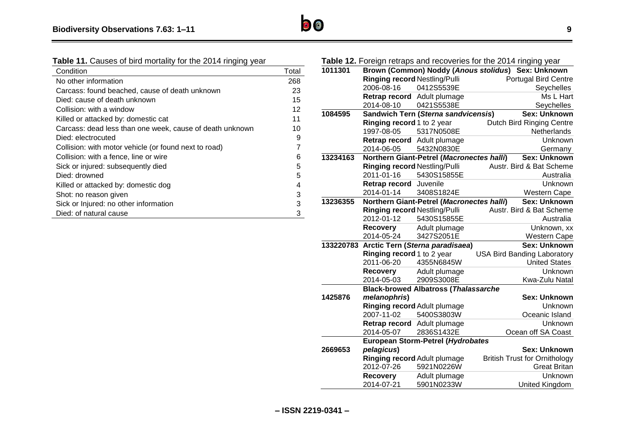| <b>Table 11.</b> Causes of bird mortality for the 2014 ringing year |       |
|---------------------------------------------------------------------|-------|
| Condition                                                           | Total |
| No other information                                                | 268   |
| Carcass: found beached, cause of death unknown                      | 23    |
| Died: cause of death unknown                                        | 15    |
| Collision: with a window                                            | 12    |
| Killed or attacked by: domestic cat                                 | 11    |
| Carcass: dead less than one week, cause of death unknown            | 10    |
| Died: electrocuted                                                  | 9     |
| Collision: with motor vehicle (or found next to road)               | 7     |
| Collision: with a fence, line or wire                               | 6     |
| Sick or injured: subsequently died                                  | 5     |
| Died: drowned                                                       | 5     |
| Killed or attacked by: domestic dog                                 | 4     |
| Shot: no reason given                                               | 3     |
| Sick or Injured: no other information                               | 3     |
| Died: of natural cause                                              | 3     |

## **Table 12.** Foreign retraps and recoveries for the 2014 ringing year

| 1011301   |                                      |                                                  | Brown (Common) Noddy (Anous stolidus) Sex: Unknown |
|-----------|--------------------------------------|--------------------------------------------------|----------------------------------------------------|
|           | Ringing record Nestling/Pulli        |                                                  | <b>Portugal Bird Centre</b>                        |
|           | 2006-08-16                           | 0412S5539E                                       | Seychelles                                         |
|           | Retrap record                        | Adult plumage                                    | Ms L Hart                                          |
|           | 2014-08-10                           | 0421S5538E                                       | Seychelles                                         |
| 1084595   |                                      | Sandwich Tern (Sterna sandvicensis)              | <b>Sex: Unknown</b>                                |
|           | Ringing record 1 to 2 year           |                                                  | <b>Dutch Bird Ringing Centre</b>                   |
|           | 1997-08-05                           | 5317N0508E                                       | Netherlands                                        |
|           | Retrap record                        | Adult plumage                                    | Unknown                                            |
|           | 2014-06-05                           | 5432N0830E                                       | Germany                                            |
| 13234163  |                                      | <b>Northern Giant-Petrel (Macronectes halli)</b> | <b>Sex: Unknown</b>                                |
|           | <b>Ringing record Nestling/Pulli</b> |                                                  | Austr. Bird & Bat Scheme                           |
|           | 2011-01-16                           | 5430S15855E                                      | Australia                                          |
|           | Retrap record                        | Juvenile                                         | <b>Unknown</b>                                     |
|           | 2014-01-14                           | 3408S1824E                                       | Western Cape                                       |
| 13236355  |                                      | Northern Giant-Petrel (Macronectes halli)        | <b>Sex: Unknown</b>                                |
|           | <b>Ringing record Nestling/Pulli</b> |                                                  | Austr. Bird & Bat Scheme                           |
|           | 2012-01-12                           | 5430S15855E                                      | Australia                                          |
|           | Recovery                             | Adult plumage                                    | Unknown, xx                                        |
|           | 2014-05-24                           | 3427S2051E                                       | Western Cape                                       |
| 133220783 |                                      | Arctic Tern (Sterna paradisaea)                  | <b>Sex: Unknown</b>                                |
|           | Ringing record 1 to 2 year           |                                                  | <b>USA Bird Banding Laboratory</b>                 |
|           | 2011-06-20                           | 4355N6845W                                       | <b>United States</b>                               |
|           | Recovery                             | Adult plumage                                    | Unknown                                            |
|           | 2014-05-03                           | 2909S3008E                                       | Kwa-Zulu Natal                                     |
|           |                                      | <b>Black-browed Albatross (Thalassarche</b>      |                                                    |
| 1425876   | melanophris)                         |                                                  | <b>Sex: Unknown</b>                                |
|           | Ringing record Adult plumage         |                                                  | <b>Unknown</b>                                     |
|           | 2007-11-02                           | 5400S3803W                                       | Oceanic Island                                     |
|           | Retrap record Adult plumage          |                                                  | Unknown                                            |
|           | 2014-05-07                           | 2836S1432E                                       | Ocean off SA Coast                                 |
|           |                                      | European Storm-Petrel (Hydrobates                |                                                    |
| 2669653   | pelagicus)                           |                                                  | <b>Sex: Unknown</b>                                |
|           | Ringing record Adult plumage         |                                                  | <b>British Trust for Ornithology</b>               |
|           | 2012-07-26                           | 5921N0226W                                       | <b>Great Britan</b>                                |
|           | <b>Recovery</b>                      | Adult plumage                                    | Unknown                                            |
|           | 2014-07-21                           | 5901N0233W                                       | United Kingdom                                     |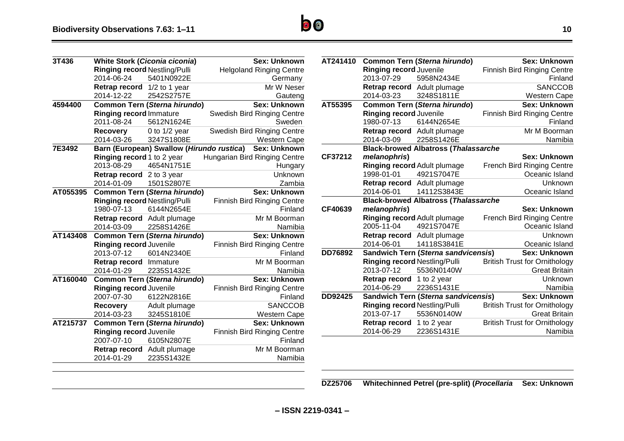| 3T436    |                                | <b>White Stork (Ciconia ciconia)</b>      | <b>Sex: Unknown</b>                |
|----------|--------------------------------|-------------------------------------------|------------------------------------|
|          | Ringing record Nestling/Pulli  |                                           | <b>Helgoland Ringing Centre</b>    |
|          | 2014-06-24                     | 5401N0922E                                | Germany                            |
|          | Retrap record                  | 1/2 to 1 year                             | Mr W Neser                         |
|          | 2014-12-22                     | 2542S2757E                                | Gauteng                            |
| 4594400  |                                | Common Tern (Sterna hirundo)              | <b>Sex: Unknown</b>                |
|          | <b>Ringing record Immature</b> |                                           | Swedish Bird Ringing Centre        |
|          | 2011-08-24                     | 5612N1624E                                | Sweden                             |
|          | Recovery                       | $0$ to $1/2$ year                         | Swedish Bird Ringing Centre        |
|          | 2014-03-26                     | 3247S1808E                                | <b>Western Cape</b>                |
| 7E3492   |                                | Barn (European) Swallow (Hirundo rustica) | <b>Sex: Unknown</b>                |
|          | Ringing record 1 to 2 year     |                                           | Hungarian Bird Ringing Centre      |
|          | 2013-08-29                     | 4654N1751E                                | Hungary                            |
|          | Retrap record                  | 2 to 3 year                               | Unknown                            |
|          | 2014-01-09                     | 1501S2807E                                | Zambia                             |
| AT055395 |                                | <b>Common Tern (Sterna hirundo)</b>       | <b>Sex: Unknown</b>                |
|          | Ringing record Nestling/Pulli  |                                           | <b>Finnish Bird Ringing Centre</b> |
|          | 1980-07-13                     | 6144N2654E                                | Finland                            |
|          | Retrap record                  | Adult plumage                             | Mr M Boorman                       |
|          | 2014-03-09                     | 2258S1426E                                | Namibia                            |
| AT143408 |                                | <b>Common Tern (Sterna hirundo)</b>       | <b>Sex: Unknown</b>                |
|          | Ringing record Juvenile        |                                           | <b>Finnish Bird Ringing Centre</b> |
|          | 2013-07-12                     | 6014N2340E                                | Finland                            |
|          | Retrap record                  | Immature                                  | Mr M Boorman                       |
|          | 2014-01-29                     | 2235S1432E                                | Namibia                            |
| AT160040 |                                | <b>Common Tern (Sterna hirundo)</b>       | <b>Sex: Unknown</b>                |
|          | Ringing record Juvenile        |                                           | <b>Finnish Bird Ringing Centre</b> |
|          | 2007-07-30                     | 6122N2816E                                | Finland                            |
|          | <b>Recovery</b>                | Adult plumage                             | <b>SANCCOB</b>                     |
|          | 2014-03-23                     | 3245S1810E                                | <b>Western Cape</b>                |
| AT215737 |                                | <b>Common Tern (Sterna hirundo)</b>       | <b>Sex: Unknown</b>                |
|          | <b>Ringing record Juvenile</b> |                                           | Finnish Bird Ringing Centre        |
|          | 2007-07-10                     | 6105N2807E                                | Finland                            |
|          | Retrap record                  | Adult plumage                             | Mr M Boorman                       |
|          | 2014-01-29                     | 2235S1432E                                | Namibia                            |
|          |                                |                                           |                                    |

| AT241410 |                               | Common Tern (Sterna hirundo)                | <b>Sex: Unknown</b>                  |
|----------|-------------------------------|---------------------------------------------|--------------------------------------|
|          | Ringing record Juvenile       |                                             | <b>Finnish Bird Ringing Centre</b>   |
|          | 2013-07-29                    | 5958N2434E                                  | Finland                              |
|          | Retrap record Adult plumage   |                                             | <b>SANCCOB</b>                       |
|          | 2014-03-23                    | 3248S1811E                                  | <b>Western Cape</b>                  |
| AT55395  |                               | <b>Common Tern (Sterna hirundo)</b>         | <b>Sex: Unknown</b>                  |
|          | Ringing record Juvenile       |                                             | <b>Finnish Bird Ringing Centre</b>   |
|          | 1980-07-13                    | 6144N2654E                                  | Finland                              |
|          | Retrap record                 | Adult plumage                               | Mr M Boorman                         |
|          | 2014-03-09                    | 2258S1426E                                  | Namibia                              |
|          |                               | <b>Black-browed Albatross (Thalassarche</b> |                                      |
| CF37212  | melanophris)                  |                                             | Sex: Unknown                         |
|          | Ringing record Adult plumage  |                                             | <b>French Bird Ringing Centre</b>    |
|          | 1998-01-01                    | 4921S7047E                                  | Oceanic Island                       |
|          | Retrap record Adult plumage   |                                             | <b>Unknown</b>                       |
|          | 2014-06-01                    | 14112S3843E                                 | Oceanic Island                       |
|          |                               | <b>Black-browed Albatross (Thalassarche</b> |                                      |
| CF40639  | melanophris)                  |                                             | Sex: Unknown                         |
|          | Ringing record Adult plumage  |                                             | <b>French Bird Ringing Centre</b>    |
|          | 2005-11-04                    | 4921S7047E                                  | Oceanic Island                       |
|          | Retrap record Adult plumage   |                                             | Unknown                              |
|          | 2014-06-01                    | 14118S3841E                                 | Oceanic Island                       |
| DD76892  |                               | Sandwich Tern (Sterna sandvicensis)         | <b>Sex: Unknown</b>                  |
|          | Ringing record Nestling/Pulli |                                             | <b>British Trust for Ornithology</b> |
|          | 2013-07-12                    | 5536N0140W                                  | <b>Great Britain</b>                 |
|          | Retrap record                 | 1 to 2 year                                 | Unknown                              |
|          | 2014-06-29                    | 2236S1431E                                  | Namibia                              |
| DD92425  |                               | Sandwich Tern (Sterna sandvicensis)         | <b>Sex: Unknown</b>                  |
|          | Ringing record Nestling/Pulli |                                             | <b>British Trust for Ornithology</b> |
|          | 2013-07-17                    | 5536N0140W                                  | <b>Great Britain</b>                 |
|          | Retrap record                 | 1 to 2 year                                 | <b>British Trust for Ornithology</b> |
|          | 2014-06-29                    | 2236S1431E                                  | Namibia                              |

**DZ25706 Whitechinned Petrel (pre-split) (***Procellaria* **Sex: Unknown**